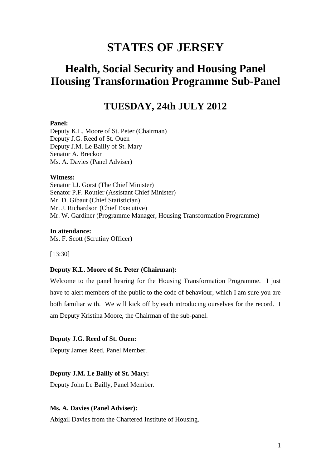# **STATES OF JERSEY**

# **Health, Social Security and Housing Panel Housing Transformation Programme Sub-Panel**

# **TUESDAY, 24th JULY 2012**

#### **Panel:**

Deputy K.L. Moore of St. Peter (Chairman) Deputy J.G. Reed of St. Ouen Deputy J.M. Le Bailly of St. Mary Senator A. Breckon Ms. A. Davies (Panel Adviser)

#### **Witness:**

Senator I.J. Gorst (The Chief Minister) Senator P.F. Routier (Assistant Chief Minister) Mr. D. Gibaut (Chief Statistician) Mr. J. Richardson (Chief Executive) Mr. W. Gardiner (Programme Manager, Housing Transformation Programme)

**In attendance:** Ms. F. Scott (Scrutiny Officer)

[13:30]

#### **Deputy K.L. Moore of St. Peter (Chairman):**

Welcome to the panel hearing for the Housing Transformation Programme. I just have to alert members of the public to the code of behaviour, which I am sure you are both familiar with. We will kick off by each introducing ourselves for the record. I am Deputy Kristina Moore, the Chairman of the sub-panel.

## **Deputy J.G. Reed of St. Ouen:**

Deputy James Reed, Panel Member.

#### **Deputy J.M. Le Bailly of St. Mary:**

Deputy John Le Bailly, Panel Member.

## **Ms. A. Davies (Panel Adviser):**

Abigail Davies from the Chartered Institute of Housing.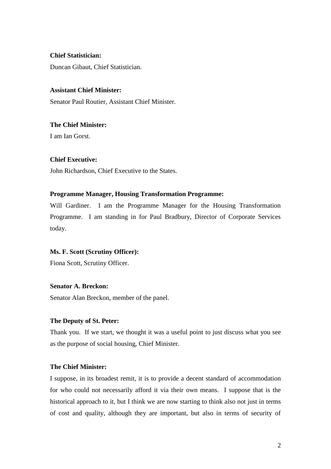# **Chief Statistician:**

Duncan Gibaut, Chief Statistician.

# **Assistant Chief Minister:**

Senator Paul Routier, Assistant Chief Minister.

# **The Chief Minister:**

I am Ian Gorst.

## **Chief Executive:**

John Richardson, Chief Executive to the States.

## **Programme Manager, Housing Transformation Programme:**

Will Gardiner. I am the Programme Manager for the Housing Transformation Programme. I am standing in for Paul Bradbury, Director of Corporate Services today.

#### **Ms. F. Scott (Scrutiny Officer):**

Fiona Scott, Scrutiny Officer.

# **Senator A. Breckon:**

Senator Alan Breckon, member of the panel.

# **The Deputy of St. Peter:**

Thank you. If we start, we thought it was a useful point to just discuss what you see as the purpose of social housing, Chief Minister.

# **The Chief Minister:**

I suppose, in its broadest remit, it is to provide a decent standard of accommodation for who could not necessarily afford it via their own means. I suppose that is the historical approach to it, but I think we are now starting to think also not just in terms of cost and quality, although they are important, but also in terms of security of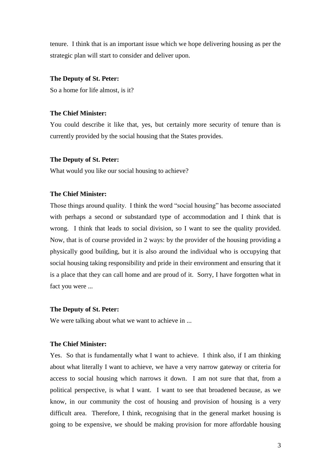tenure. I think that is an important issue which we hope delivering housing as per the strategic plan will start to consider and deliver upon.

#### **The Deputy of St. Peter:**

So a home for life almost, is it?

# **The Chief Minister:**

You could describe it like that, yes, but certainly more security of tenure than is currently provided by the social housing that the States provides.

#### **The Deputy of St. Peter:**

What would you like our social housing to achieve?

#### **The Chief Minister:**

Those things around quality. I think the word "social housing" has become associated with perhaps a second or substandard type of accommodation and I think that is wrong. I think that leads to social division, so I want to see the quality provided. Now, that is of course provided in 2 ways: by the provider of the housing providing a physically good building, but it is also around the individual who is occupying that social housing taking responsibility and pride in their environment and ensuring that it is a place that they can call home and are proud of it. Sorry, I have forgotten what in fact you were ...

#### **The Deputy of St. Peter:**

We were talking about what we want to achieve in ...

# **The Chief Minister:**

Yes. So that is fundamentally what I want to achieve. I think also, if I am thinking about what literally I want to achieve, we have a very narrow gateway or criteria for access to social housing which narrows it down. I am not sure that that, from a political perspective, is what I want. I want to see that broadened because, as we know, in our community the cost of housing and provision of housing is a very difficult area. Therefore, I think, recognising that in the general market housing is going to be expensive, we should be making provision for more affordable housing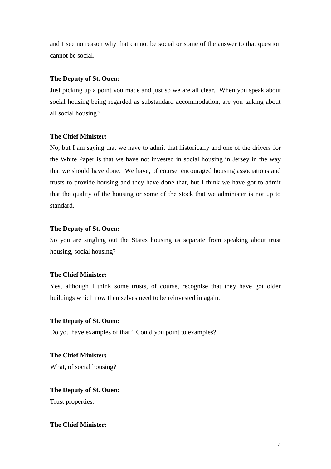and I see no reason why that cannot be social or some of the answer to that question cannot be social.

#### **The Deputy of St. Ouen:**

Just picking up a point you made and just so we are all clear. When you speak about social housing being regarded as substandard accommodation, are you talking about all social housing?

## **The Chief Minister:**

No, but I am saying that we have to admit that historically and one of the drivers for the White Paper is that we have not invested in social housing in Jersey in the way that we should have done. We have, of course, encouraged housing associations and trusts to provide housing and they have done that, but I think we have got to admit that the quality of the housing or some of the stock that we administer is not up to standard.

# **The Deputy of St. Ouen:**

So you are singling out the States housing as separate from speaking about trust housing, social housing?

# **The Chief Minister:**

Yes, although I think some trusts, of course, recognise that they have got older buildings which now themselves need to be reinvested in again.

#### **The Deputy of St. Ouen:**

Do you have examples of that? Could you point to examples?

**The Chief Minister:** What, of social housing?

# **The Deputy of St. Ouen:**

Trust properties.

# **The Chief Minister:**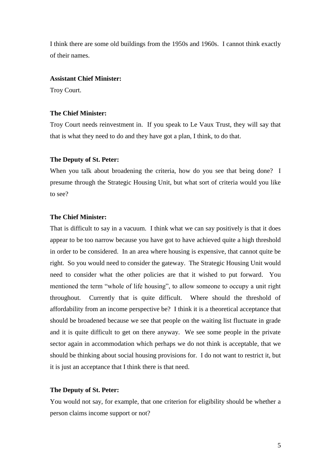I think there are some old buildings from the 1950s and 1960s. I cannot think exactly of their names.

# **Assistant Chief Minister:**

Troy Court.

# **The Chief Minister:**

Troy Court needs reinvestment in. If you speak to Le Vaux Trust, they will say that that is what they need to do and they have got a plan, I think, to do that.

#### **The Deputy of St. Peter:**

When you talk about broadening the criteria, how do you see that being done? I presume through the Strategic Housing Unit, but what sort of criteria would you like to see?

# **The Chief Minister:**

That is difficult to say in a vacuum. I think what we can say positively is that it does appear to be too narrow because you have got to have achieved quite a high threshold in order to be considered. In an area where housing is expensive, that cannot quite be right. So you would need to consider the gateway. The Strategic Housing Unit would need to consider what the other policies are that it wished to put forward. You mentioned the term "whole of life housing", to allow someone to occupy a unit right throughout. Currently that is quite difficult. Where should the threshold of affordability from an income perspective be? I think it is a theoretical acceptance that should be broadened because we see that people on the waiting list fluctuate in grade and it is quite difficult to get on there anyway. We see some people in the private sector again in accommodation which perhaps we do not think is acceptable, that we should be thinking about social housing provisions for. I do not want to restrict it, but it is just an acceptance that I think there is that need.

#### **The Deputy of St. Peter:**

You would not say, for example, that one criterion for eligibility should be whether a person claims income support or not?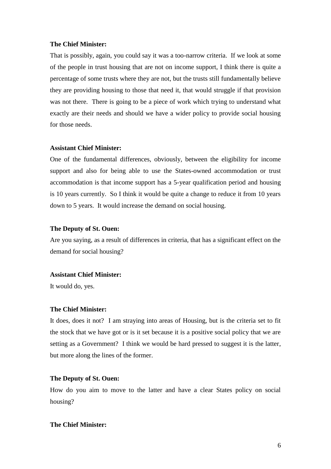#### **The Chief Minister:**

That is possibly, again, you could say it was a too-narrow criteria. If we look at some of the people in trust housing that are not on income support, I think there is quite a percentage of some trusts where they are not, but the trusts still fundamentally believe they are providing housing to those that need it, that would struggle if that provision was not there. There is going to be a piece of work which trying to understand what exactly are their needs and should we have a wider policy to provide social housing for those needs.

#### **Assistant Chief Minister:**

One of the fundamental differences, obviously, between the eligibility for income support and also for being able to use the States-owned accommodation or trust accommodation is that income support has a 5-year qualification period and housing is 10 years currently. So I think it would be quite a change to reduce it from 10 years down to 5 years. It would increase the demand on social housing.

# **The Deputy of St. Ouen:**

Are you saying, as a result of differences in criteria, that has a significant effect on the demand for social housing?

#### **Assistant Chief Minister:**

It would do, yes.

#### **The Chief Minister:**

It does, does it not? I am straying into areas of Housing, but is the criteria set to fit the stock that we have got or is it set because it is a positive social policy that we are setting as a Government? I think we would be hard pressed to suggest it is the latter, but more along the lines of the former.

# **The Deputy of St. Ouen:**

How do you aim to move to the latter and have a clear States policy on social housing?

# **The Chief Minister:**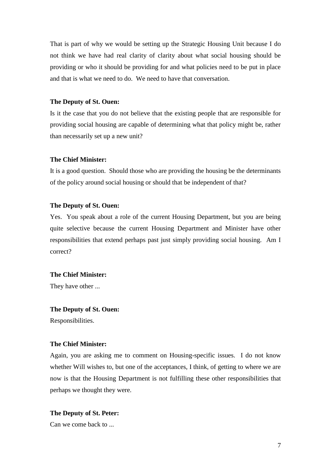That is part of why we would be setting up the Strategic Housing Unit because I do not think we have had real clarity of clarity about what social housing should be providing or who it should be providing for and what policies need to be put in place and that is what we need to do. We need to have that conversation.

#### **The Deputy of St. Ouen:**

Is it the case that you do not believe that the existing people that are responsible for providing social housing are capable of determining what that policy might be, rather than necessarily set up a new unit?

#### **The Chief Minister:**

It is a good question. Should those who are providing the housing be the determinants of the policy around social housing or should that be independent of that?

# **The Deputy of St. Ouen:**

Yes. You speak about a role of the current Housing Department, but you are being quite selective because the current Housing Department and Minister have other responsibilities that extend perhaps past just simply providing social housing. Am I correct?

#### **The Chief Minister:**

They have other ...

#### **The Deputy of St. Ouen:**

Responsibilities.

# **The Chief Minister:**

Again, you are asking me to comment on Housing-specific issues. I do not know whether Will wishes to, but one of the acceptances, I think, of getting to where we are now is that the Housing Department is not fulfilling these other responsibilities that perhaps we thought they were.

# **The Deputy of St. Peter:**

Can we come back to ...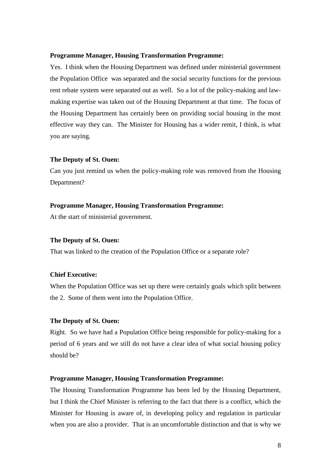#### **Programme Manager, Housing Transformation Programme:**

Yes. I think when the Housing Department was defined under ministerial government the Population Office was separated and the social security functions for the previous rent rebate system were separated out as well. So a lot of the policy-making and lawmaking expertise was taken out of the Housing Department at that time. The focus of the Housing Department has certainly been on providing social housing in the most effective way they can. The Minister for Housing has a wider remit, I think, is what you are saying.

#### **The Deputy of St. Ouen:**

Can you just remind us when the policy-making role was removed from the Housing Department?

# **Programme Manager, Housing Transformation Programme:**

At the start of ministerial government.

#### **The Deputy of St. Ouen:**

That was linked to the creation of the Population Office or a separate role?

# **Chief Executive:**

When the Population Office was set up there were certainly goals which split between the 2. Some of them went into the Population Office.

# **The Deputy of St. Ouen:**

Right. So we have had a Population Office being responsible for policy-making for a period of 6 years and we still do not have a clear idea of what social housing policy should be?

#### **Programme Manager, Housing Transformation Programme:**

The Housing Transformation Programme has been led by the Housing Department, but I think the Chief Minister is referring to the fact that there is a conflict, which the Minister for Housing is aware of, in developing policy and regulation in particular when you are also a provider. That is an uncomfortable distinction and that is why we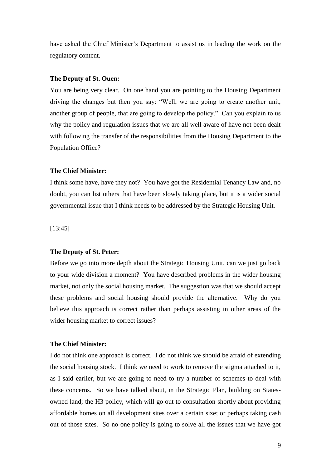have asked the Chief Minister's Department to assist us in leading the work on the regulatory content.

#### **The Deputy of St. Ouen:**

You are being very clear. On one hand you are pointing to the Housing Department driving the changes but then you say: "Well, we are going to create another unit, another group of people, that are going to develop the policy." Can you explain to us why the policy and regulation issues that we are all well aware of have not been dealt with following the transfer of the responsibilities from the Housing Department to the Population Office?

#### **The Chief Minister:**

I think some have, have they not? You have got the Residential Tenancy Law and, no doubt, you can list others that have been slowly taking place, but it is a wider social governmental issue that I think needs to be addressed by the Strategic Housing Unit.

[13:45]

#### **The Deputy of St. Peter:**

Before we go into more depth about the Strategic Housing Unit, can we just go back to your wide division a moment? You have described problems in the wider housing market, not only the social housing market. The suggestion was that we should accept these problems and social housing should provide the alternative. Why do you believe this approach is correct rather than perhaps assisting in other areas of the wider housing market to correct issues?

# **The Chief Minister:**

I do not think one approach is correct. I do not think we should be afraid of extending the social housing stock. I think we need to work to remove the stigma attached to it, as I said earlier, but we are going to need to try a number of schemes to deal with these concerns. So we have talked about, in the Strategic Plan, building on Statesowned land; the H3 policy, which will go out to consultation shortly about providing affordable homes on all development sites over a certain size; or perhaps taking cash out of those sites. So no one policy is going to solve all the issues that we have got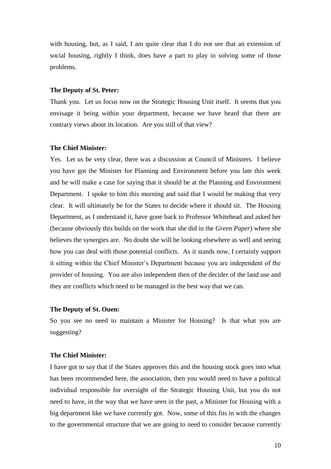with housing, but, as I said, I am quite clear that I do not see that an extension of social housing, rightly I think, does have a part to play in solving some of those problems.

#### **The Deputy of St. Peter:**

Thank you. Let us focus now on the Strategic Housing Unit itself. It seems that you envisage it being within your department, because we have heard that there are contrary views about its location. Are you still of that view?

#### **The Chief Minister:**

Yes. Let us be very clear, there was a discussion at Council of Ministers. I believe you have got the Minister for Planning and Environment before you late this week and he will make a case for saying that it should be at the Planning and Environment Department. I spoke to him this morning and said that I would be making that very clear. It will ultimately be for the States to decide where it should sit. The Housing Department, as I understand it, have gone back to Professor Whitehead and asked her (because obviously this builds on the work that she did in the *Green Paper*) where she believes the synergies are. No doubt she will be looking elsewhere as well and seeing how you can deal with those potential conflicts. As it stands now, I certainly support it sitting within the Chief Minister's Department because you are independent of the provider of housing. You are also independent then of the decider of the land use and they are conflicts which need to be managed in the best way that we can.

#### **The Deputy of St. Ouen:**

So you see no need to maintain a Minister for Housing? Is that what you are suggesting?

#### **The Chief Minister:**

I have got to say that if the States approves this and the housing stock goes into what has been recommended here, the association, then you would need to have a political individual responsible for oversight of the Strategic Housing Unit, but you do not need to have, in the way that we have seen in the past, a Minister for Housing with a big department like we have currently got. Now, some of this fits in with the changes to the governmental structure that we are going to need to consider because currently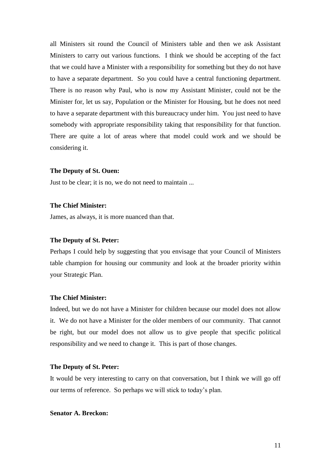all Ministers sit round the Council of Ministers table and then we ask Assistant Ministers to carry out various functions. I think we should be accepting of the fact that we could have a Minister with a responsibility for something but they do not have to have a separate department. So you could have a central functioning department. There is no reason why Paul, who is now my Assistant Minister, could not be the Minister for, let us say, Population or the Minister for Housing, but he does not need to have a separate department with this bureaucracy under him. You just need to have somebody with appropriate responsibility taking that responsibility for that function. There are quite a lot of areas where that model could work and we should be considering it.

#### **The Deputy of St. Ouen:**

Just to be clear; it is no, we do not need to maintain ...

# **The Chief Minister:**

James, as always, it is more nuanced than that.

#### **The Deputy of St. Peter:**

Perhaps I could help by suggesting that you envisage that your Council of Ministers table champion for housing our community and look at the broader priority within your Strategic Plan.

# **The Chief Minister:**

Indeed, but we do not have a Minister for children because our model does not allow it. We do not have a Minister for the older members of our community. That cannot be right, but our model does not allow us to give people that specific political responsibility and we need to change it. This is part of those changes.

#### **The Deputy of St. Peter:**

It would be very interesting to carry on that conversation, but I think we will go off our terms of reference. So perhaps we will stick to today's plan.

# **Senator A. Breckon:**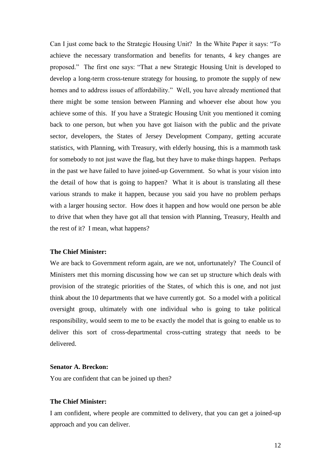Can I just come back to the Strategic Housing Unit? In the White Paper it says: "To achieve the necessary transformation and benefits for tenants, 4 key changes are proposed." The first one says: "That a new Strategic Housing Unit is developed to develop a long-term cross-tenure strategy for housing, to promote the supply of new homes and to address issues of affordability." Well, you have already mentioned that there might be some tension between Planning and whoever else about how you achieve some of this. If you have a Strategic Housing Unit you mentioned it coming back to one person, but when you have got liaison with the public and the private sector, developers, the States of Jersey Development Company, getting accurate statistics, with Planning, with Treasury, with elderly housing, this is a mammoth task for somebody to not just wave the flag, but they have to make things happen. Perhaps in the past we have failed to have joined-up Government. So what is your vision into the detail of how that is going to happen? What it is about is translating all these various strands to make it happen, because you said you have no problem perhaps with a larger housing sector. How does it happen and how would one person be able to drive that when they have got all that tension with Planning, Treasury, Health and the rest of it? I mean, what happens?

#### **The Chief Minister:**

We are back to Government reform again, are we not, unfortunately? The Council of Ministers met this morning discussing how we can set up structure which deals with provision of the strategic priorities of the States, of which this is one, and not just think about the 10 departments that we have currently got. So a model with a political oversight group, ultimately with one individual who is going to take political responsibility, would seem to me to be exactly the model that is going to enable us to deliver this sort of cross-departmental cross-cutting strategy that needs to be delivered.

# **Senator A. Breckon:**

You are confident that can be joined up then?

# **The Chief Minister:**

I am confident, where people are committed to delivery, that you can get a joined-up approach and you can deliver.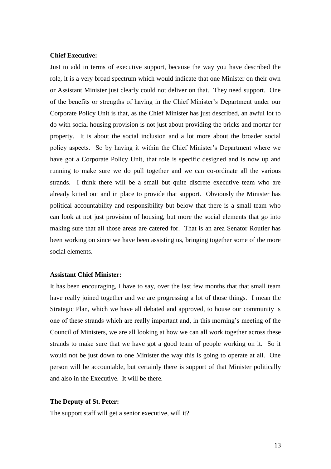#### **Chief Executive:**

Just to add in terms of executive support, because the way you have described the role, it is a very broad spectrum which would indicate that one Minister on their own or Assistant Minister just clearly could not deliver on that. They need support. One of the benefits or strengths of having in the Chief Minister's Department under our Corporate Policy Unit is that, as the Chief Minister has just described, an awful lot to do with social housing provision is not just about providing the bricks and mortar for property. It is about the social inclusion and a lot more about the broader social policy aspects. So by having it within the Chief Minister's Department where we have got a Corporate Policy Unit, that role is specific designed and is now up and running to make sure we do pull together and we can co-ordinate all the various strands. I think there will be a small but quite discrete executive team who are already kitted out and in place to provide that support. Obviously the Minister has political accountability and responsibility but below that there is a small team who can look at not just provision of housing, but more the social elements that go into making sure that all those areas are catered for. That is an area Senator Routier has been working on since we have been assisting us, bringing together some of the more social elements.

# **Assistant Chief Minister:**

It has been encouraging, I have to say, over the last few months that that small team have really joined together and we are progressing a lot of those things. I mean the Strategic Plan, which we have all debated and approved, to house our community is one of these strands which are really important and, in this morning's meeting of the Council of Ministers, we are all looking at how we can all work together across these strands to make sure that we have got a good team of people working on it. So it would not be just down to one Minister the way this is going to operate at all. One person will be accountable, but certainly there is support of that Minister politically and also in the Executive. It will be there.

#### **The Deputy of St. Peter:**

The support staff will get a senior executive, will it?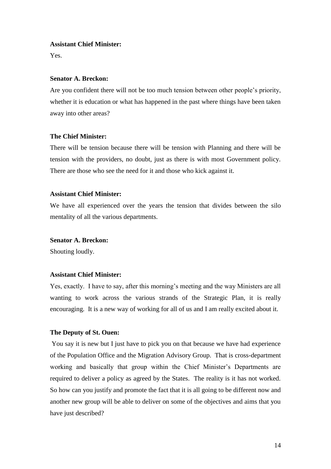#### **Assistant Chief Minister:**

Yes.

# **Senator A. Breckon:**

Are you confident there will not be too much tension between other people's priority, whether it is education or what has happened in the past where things have been taken away into other areas?

#### **The Chief Minister:**

There will be tension because there will be tension with Planning and there will be tension with the providers, no doubt, just as there is with most Government policy. There are those who see the need for it and those who kick against it.

#### **Assistant Chief Minister:**

We have all experienced over the years the tension that divides between the silo mentality of all the various departments.

#### **Senator A. Breckon:**

Shouting loudly.

#### **Assistant Chief Minister:**

Yes, exactly. I have to say, after this morning's meeting and the way Ministers are all wanting to work across the various strands of the Strategic Plan, it is really encouraging. It is a new way of working for all of us and I am really excited about it.

#### **The Deputy of St. Ouen:**

You say it is new but I just have to pick you on that because we have had experience of the Population Office and the Migration Advisory Group. That is cross-department working and basically that group within the Chief Minister's Departments are required to deliver a policy as agreed by the States. The reality is it has not worked. So how can you justify and promote the fact that it is all going to be different now and another new group will be able to deliver on some of the objectives and aims that you have just described?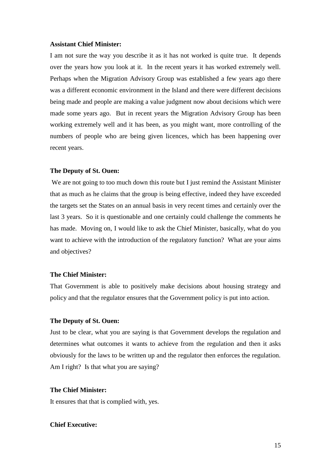#### **Assistant Chief Minister:**

I am not sure the way you describe it as it has not worked is quite true. It depends over the years how you look at it. In the recent years it has worked extremely well. Perhaps when the Migration Advisory Group was established a few years ago there was a different economic environment in the Island and there were different decisions being made and people are making a value judgment now about decisions which were made some years ago. But in recent years the Migration Advisory Group has been working extremely well and it has been, as you might want, more controlling of the numbers of people who are being given licences, which has been happening over recent years.

#### **The Deputy of St. Ouen:**

We are not going to too much down this route but I just remind the Assistant Minister that as much as he claims that the group is being effective, indeed they have exceeded the targets set the States on an annual basis in very recent times and certainly over the last 3 years. So it is questionable and one certainly could challenge the comments he has made. Moving on, I would like to ask the Chief Minister, basically, what do you want to achieve with the introduction of the regulatory function? What are your aims and objectives?

#### **The Chief Minister:**

That Government is able to positively make decisions about housing strategy and policy and that the regulator ensures that the Government policy is put into action.

#### **The Deputy of St. Ouen:**

Just to be clear, what you are saying is that Government develops the regulation and determines what outcomes it wants to achieve from the regulation and then it asks obviously for the laws to be written up and the regulator then enforces the regulation. Am I right? Is that what you are saying?

# **The Chief Minister:**

It ensures that that is complied with, yes.

# **Chief Executive:**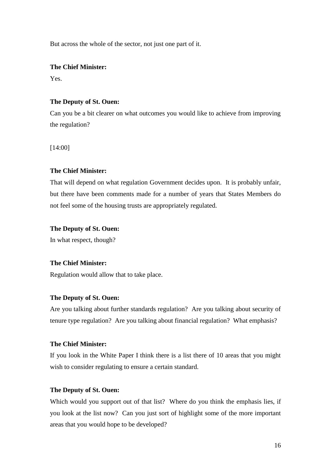But across the whole of the sector, not just one part of it.

**The Chief Minister:**

Yes.

# **The Deputy of St. Ouen:**

Can you be a bit clearer on what outcomes you would like to achieve from improving the regulation?

[14:00]

# **The Chief Minister:**

That will depend on what regulation Government decides upon. It is probably unfair, but there have been comments made for a number of years that States Members do not feel some of the housing trusts are appropriately regulated.

# **The Deputy of St. Ouen:**

In what respect, though?

# **The Chief Minister:**

Regulation would allow that to take place.

# **The Deputy of St. Ouen:**

Are you talking about further standards regulation? Are you talking about security of tenure type regulation? Are you talking about financial regulation? What emphasis?

# **The Chief Minister:**

If you look in the White Paper I think there is a list there of 10 areas that you might wish to consider regulating to ensure a certain standard.

# **The Deputy of St. Ouen:**

Which would you support out of that list? Where do you think the emphasis lies, if you look at the list now? Can you just sort of highlight some of the more important areas that you would hope to be developed?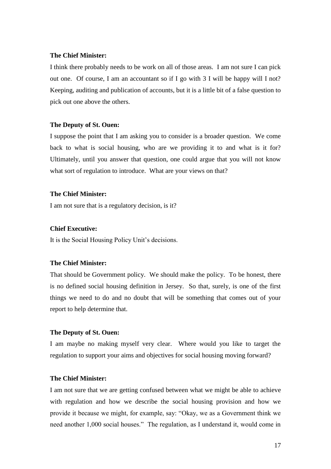#### **The Chief Minister:**

I think there probably needs to be work on all of those areas. I am not sure I can pick out one. Of course, I am an accountant so if I go with 3 I will be happy will I not? Keeping, auditing and publication of accounts, but it is a little bit of a false question to pick out one above the others.

# **The Deputy of St. Ouen:**

I suppose the point that I am asking you to consider is a broader question. We come back to what is social housing, who are we providing it to and what is it for? Ultimately, until you answer that question, one could argue that you will not know what sort of regulation to introduce. What are your views on that?

# **The Chief Minister:**

I am not sure that is a regulatory decision, is it?

# **Chief Executive:**

It is the Social Housing Policy Unit's decisions.

# **The Chief Minister:**

That should be Government policy. We should make the policy. To be honest, there is no defined social housing definition in Jersey. So that, surely, is one of the first things we need to do and no doubt that will be something that comes out of your report to help determine that.

# **The Deputy of St. Ouen:**

I am maybe no making myself very clear. Where would you like to target the regulation to support your aims and objectives for social housing moving forward?

# **The Chief Minister:**

I am not sure that we are getting confused between what we might be able to achieve with regulation and how we describe the social housing provision and how we provide it because we might, for example, say: "Okay, we as a Government think we need another 1,000 social houses." The regulation, as I understand it, would come in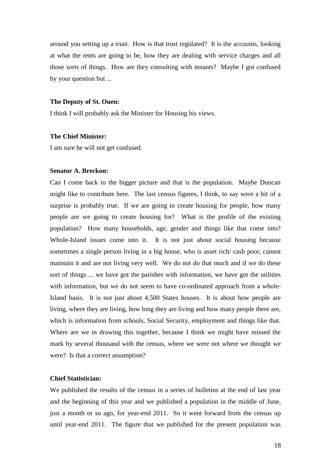around you setting up a trust. How is that trust regulated? It is the accounts, looking at what the rents are going to be, how they are dealing with service charges and all those sorts of things. How are they consulting with tenants? Maybe I got confused by your question but ...

#### **The Deputy of St. Ouen:**

I think I will probably ask the Minister for Housing his views.

#### **The Chief Minister:**

I am sure he will not get confused.

#### **Senator A. Breckon:**

Can I come back to the bigger picture and that is the population. Maybe Duncan might like to contribute here. The last census figures, I think, to say were a bit of a surprise is probably true. If we are going to create housing for people, how many people are we going to create housing for? What is the profile of the existing population? How many households, age, gender and things like that come into? Whole-Island issues come into it. It is not just about social housing because sometimes a single person living in a big house, who is asset rich/ cash poor, cannot maintain it and are not living very well. We do not do that much and if we do these sort of things ... we have got the parishes with information, we have got the utilities with information, but we do not seem to have co-ordinated approach from a whole-Island basis. It is not just about 4,500 States houses. It is about how people are living, where they are living, how long they are living and how many people there are, which is information from schools, Social Security, employment and things like that. Where are we in drawing this together, because I think we might have missed the mark by several thousand with the census, where we were not where we thought we were? Is that a correct assumption?

#### **Chief Statistician:**

We published the results of the census in a series of bulletins at the end of last year and the beginning of this year and we published a population in the middle of June, just a month or so ago, for year-end 2011. So it went forward from the census up until year-end 2011. The figure that we published for the present population was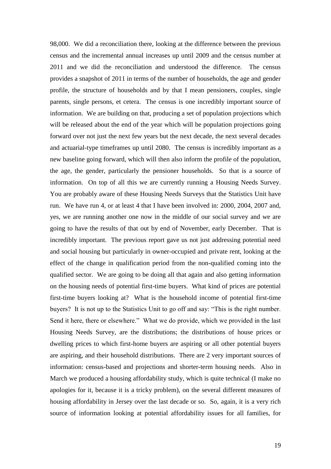98,000. We did a reconciliation there, looking at the difference between the previous census and the incremental annual increases up until 2009 and the census number at 2011 and we did the reconciliation and understood the difference. The census provides a snapshot of 2011 in terms of the number of households, the age and gender profile, the structure of households and by that I mean pensioners, couples, single parents, single persons, et cetera. The census is one incredibly important source of information. We are building on that, producing a set of population projections which will be released about the end of the year which will be population projections going forward over not just the next few years but the next decade, the next several decades and actuarial-type timeframes up until 2080. The census is incredibly important as a new baseline going forward, which will then also inform the profile of the population, the age, the gender, particularly the pensioner households. So that is a source of information. On top of all this we are currently running a Housing Needs Survey. You are probably aware of these Housing Needs Surveys that the Statistics Unit have run. We have run 4, or at least 4 that I have been involved in: 2000, 2004, 2007 and, yes, we are running another one now in the middle of our social survey and we are going to have the results of that out by end of November, early December. That is incredibly important. The previous report gave us not just addressing potential need and social housing but particularly in owner-occupied and private rent, looking at the effect of the change in qualification period from the non-qualified coming into the qualified sector. We are going to be doing all that again and also getting information on the housing needs of potential first-time buyers. What kind of prices are potential first-time buyers looking at? What is the household income of potential first-time buyers? It is not up to the Statistics Unit to go off and say: "This is the right number. Send it here, there or elsewhere." What we do provide, which we provided in the last Housing Needs Survey, are the distributions; the distributions of house prices or dwelling prices to which first-home buyers are aspiring or all other potential buyers are aspiring, and their household distributions. There are 2 very important sources of information: census-based and projections and shorter-term housing needs. Also in March we produced a housing affordability study, which is quite technical (I make no apologies for it, because it is a tricky problem), on the several different measures of housing affordability in Jersey over the last decade or so. So, again, it is a very rich source of information looking at potential affordability issues for all families, for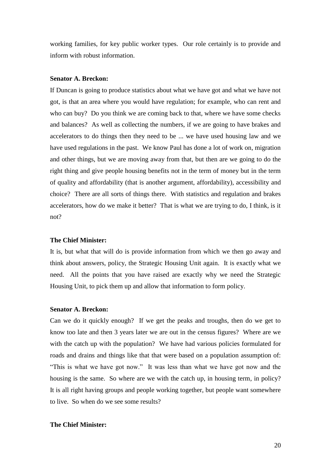working families, for key public worker types. Our role certainly is to provide and inform with robust information.

# **Senator A. Breckon:**

If Duncan is going to produce statistics about what we have got and what we have not got, is that an area where you would have regulation; for example, who can rent and who can buy? Do you think we are coming back to that, where we have some checks and balances? As well as collecting the numbers, if we are going to have brakes and accelerators to do things then they need to be ... we have used housing law and we have used regulations in the past. We know Paul has done a lot of work on, migration and other things, but we are moving away from that, but then are we going to do the right thing and give people housing benefits not in the term of money but in the term of quality and affordability (that is another argument, affordability), accessibility and choice? There are all sorts of things there. With statistics and regulation and brakes accelerators, how do we make it better? That is what we are trying to do, I think, is it not?

#### **The Chief Minister:**

It is, but what that will do is provide information from which we then go away and think about answers, policy, the Strategic Housing Unit again. It is exactly what we need. All the points that you have raised are exactly why we need the Strategic Housing Unit, to pick them up and allow that information to form policy.

#### **Senator A. Breckon:**

Can we do it quickly enough? If we get the peaks and troughs, then do we get to know too late and then 3 years later we are out in the census figures? Where are we with the catch up with the population? We have had various policies formulated for roads and drains and things like that that were based on a population assumption of: "This is what we have got now." It was less than what we have got now and the housing is the same. So where are we with the catch up, in housing term, in policy? It is all right having groups and people working together, but people want somewhere to live. So when do we see some results?

# **The Chief Minister:**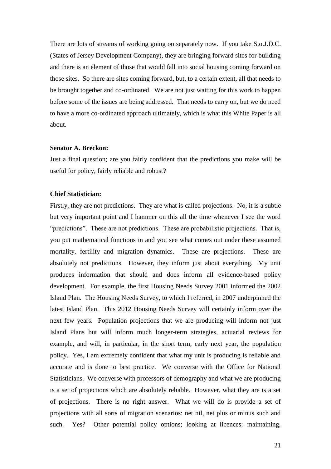There are lots of streams of working going on separately now. If you take S.o.J.D.C. (States of Jersey Development Company), they are bringing forward sites for building and there is an element of those that would fall into social housing coming forward on those sites. So there are sites coming forward, but, to a certain extent, all that needs to be brought together and co-ordinated. We are not just waiting for this work to happen before some of the issues are being addressed. That needs to carry on, but we do need to have a more co-ordinated approach ultimately, which is what this White Paper is all about.

#### **Senator A. Breckon:**

Just a final question; are you fairly confident that the predictions you make will be useful for policy, fairly reliable and robust?

# **Chief Statistician:**

Firstly, they are not predictions. They are what is called projections. No, it is a subtle but very important point and I hammer on this all the time whenever I see the word "predictions". These are not predictions. These are probabilistic projections. That is, you put mathematical functions in and you see what comes out under these assumed mortality, fertility and migration dynamics. These are projections. These are absolutely not predictions. However, they inform just about everything. My unit produces information that should and does inform all evidence-based policy development. For example, the first Housing Needs Survey 2001 informed the 2002 Island Plan. The Housing Needs Survey, to which I referred, in 2007 underpinned the latest Island Plan. This 2012 Housing Needs Survey will certainly inform over the next few years. Population projections that we are producing will inform not just Island Plans but will inform much longer-term strategies, actuarial reviews for example, and will, in particular, in the short term, early next year, the population policy. Yes, I am extremely confident that what my unit is producing is reliable and accurate and is done to best practice. We converse with the Office for National Statisticians. We converse with professors of demography and what we are producing is a set of projections which are absolutely reliable. However, what they are is a set of projections. There is no right answer. What we will do is provide a set of projections with all sorts of migration scenarios: net nil, net plus or minus such and such. Yes? Other potential policy options; looking at licences: maintaining,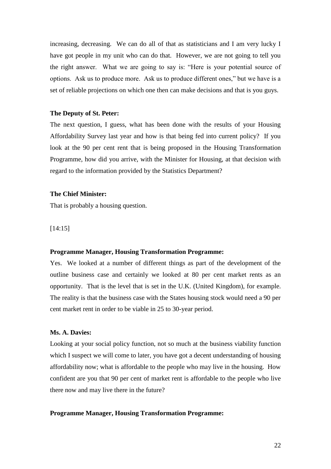increasing, decreasing. We can do all of that as statisticians and I am very lucky I have got people in my unit who can do that. However, we are not going to tell you the right answer. What we are going to say is: "Here is your potential source of options. Ask us to produce more. Ask us to produce different ones," but we have is a set of reliable projections on which one then can make decisions and that is you guys.

#### **The Deputy of St. Peter:**

The next question, I guess, what has been done with the results of your Housing Affordability Survey last year and how is that being fed into current policy? If you look at the 90 per cent rent that is being proposed in the Housing Transformation Programme, how did you arrive, with the Minister for Housing, at that decision with regard to the information provided by the Statistics Department?

#### **The Chief Minister:**

That is probably a housing question.

[14:15]

#### **Programme Manager, Housing Transformation Programme:**

Yes. We looked at a number of different things as part of the development of the outline business case and certainly we looked at 80 per cent market rents as an opportunity. That is the level that is set in the U.K. (United Kingdom), for example. The reality is that the business case with the States housing stock would need a 90 per cent market rent in order to be viable in 25 to 30-year period.

# **Ms. A. Davies:**

Looking at your social policy function, not so much at the business viability function which I suspect we will come to later, you have got a decent understanding of housing affordability now; what is affordable to the people who may live in the housing. How confident are you that 90 per cent of market rent is affordable to the people who live there now and may live there in the future?

#### **Programme Manager, Housing Transformation Programme:**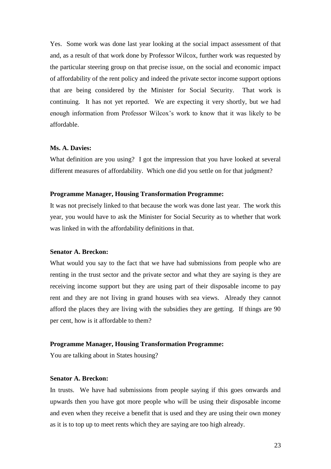Yes. Some work was done last year looking at the social impact assessment of that and, as a result of that work done by Professor Wilcox, further work was requested by the particular steering group on that precise issue, on the social and economic impact of affordability of the rent policy and indeed the private sector income support options that are being considered by the Minister for Social Security. That work is continuing. It has not yet reported. We are expecting it very shortly, but we had enough information from Professor Wilcox's work to know that it was likely to be affordable.

## **Ms. A. Davies:**

What definition are you using? I got the impression that you have looked at several different measures of affordability. Which one did you settle on for that judgment?

#### **Programme Manager, Housing Transformation Programme:**

It was not precisely linked to that because the work was done last year. The work this year, you would have to ask the Minister for Social Security as to whether that work was linked in with the affordability definitions in that.

#### **Senator A. Breckon:**

What would you say to the fact that we have had submissions from people who are renting in the trust sector and the private sector and what they are saying is they are receiving income support but they are using part of their disposable income to pay rent and they are not living in grand houses with sea views. Already they cannot afford the places they are living with the subsidies they are getting. If things are 90 per cent, how is it affordable to them?

#### **Programme Manager, Housing Transformation Programme:**

You are talking about in States housing?

# **Senator A. Breckon:**

In trusts. We have had submissions from people saying if this goes onwards and upwards then you have got more people who will be using their disposable income and even when they receive a benefit that is used and they are using their own money as it is to top up to meet rents which they are saying are too high already.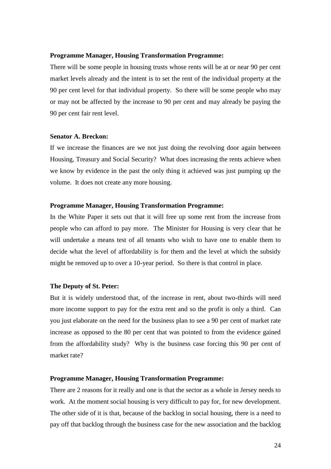#### **Programme Manager, Housing Transformation Programme:**

There will be some people in housing trusts whose rents will be at or near 90 per cent market levels already and the intent is to set the rent of the individual property at the 90 per cent level for that individual property. So there will be some people who may or may not be affected by the increase to 90 per cent and may already be paying the 90 per cent fair rent level.

#### **Senator A. Breckon:**

If we increase the finances are we not just doing the revolving door again between Housing, Treasury and Social Security? What does increasing the rents achieve when we know by evidence in the past the only thing it achieved was just pumping up the volume. It does not create any more housing.

# **Programme Manager, Housing Transformation Programme:**

In the White Paper it sets out that it will free up some rent from the increase from people who can afford to pay more. The Minister for Housing is very clear that he will undertake a means test of all tenants who wish to have one to enable them to decide what the level of affordability is for them and the level at which the subsidy might be removed up to over a 10-year period. So there is that control in place.

#### **The Deputy of St. Peter:**

But it is widely understood that, of the increase in rent, about two-thirds will need more income support to pay for the extra rent and so the profit is only a third. Can you just elaborate on the need for the business plan to see a 90 per cent of market rate increase as opposed to the 80 per cent that was pointed to from the evidence gained from the affordability study? Why is the business case forcing this 90 per cent of market rate?

#### **Programme Manager, Housing Transformation Programme:**

There are 2 reasons for it really and one is that the sector as a whole in Jersey needs to work. At the moment social housing is very difficult to pay for, for new development. The other side of it is that, because of the backlog in social housing, there is a need to pay off that backlog through the business case for the new association and the backlog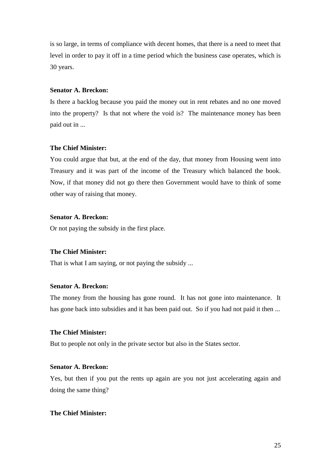is so large, in terms of compliance with decent homes, that there is a need to meet that level in order to pay it off in a time period which the business case operates, which is 30 years.

# **Senator A. Breckon:**

Is there a backlog because you paid the money out in rent rebates and no one moved into the property? Is that not where the void is? The maintenance money has been paid out in ...

## **The Chief Minister:**

You could argue that but, at the end of the day, that money from Housing went into Treasury and it was part of the income of the Treasury which balanced the book. Now, if that money did not go there then Government would have to think of some other way of raising that money.

# **Senator A. Breckon:**

Or not paying the subsidy in the first place.

#### **The Chief Minister:**

That is what I am saying, or not paying the subsidy ...

# **Senator A. Breckon:**

The money from the housing has gone round. It has not gone into maintenance. It has gone back into subsidies and it has been paid out. So if you had not paid it then ...

# **The Chief Minister:**

But to people not only in the private sector but also in the States sector.

#### **Senator A. Breckon:**

Yes, but then if you put the rents up again are you not just accelerating again and doing the same thing?

## **The Chief Minister:**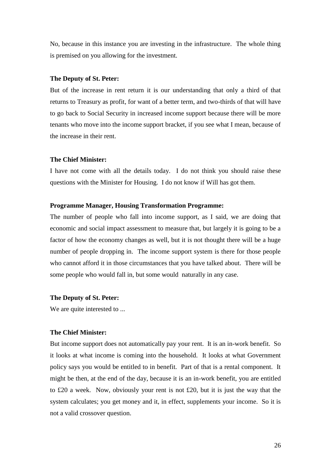No, because in this instance you are investing in the infrastructure. The whole thing is premised on you allowing for the investment.

#### **The Deputy of St. Peter:**

But of the increase in rent return it is our understanding that only a third of that returns to Treasury as profit, for want of a better term, and two-thirds of that will have to go back to Social Security in increased income support because there will be more tenants who move into the income support bracket, if you see what I mean, because of the increase in their rent.

#### **The Chief Minister:**

I have not come with all the details today. I do not think you should raise these questions with the Minister for Housing. I do not know if Will has got them.

# **Programme Manager, Housing Transformation Programme:**

The number of people who fall into income support, as I said, we are doing that economic and social impact assessment to measure that, but largely it is going to be a factor of how the economy changes as well, but it is not thought there will be a huge number of people dropping in. The income support system is there for those people who cannot afford it in those circumstances that you have talked about. There will be some people who would fall in, but some would naturally in any case.

#### **The Deputy of St. Peter:**

We are quite interested to ...

# **The Chief Minister:**

But income support does not automatically pay your rent. It is an in-work benefit. So it looks at what income is coming into the household. It looks at what Government policy says you would be entitled to in benefit. Part of that is a rental component. It might be then, at the end of the day, because it is an in-work benefit, you are entitled to £20 a week. Now, obviously your rent is not £20, but it is just the way that the system calculates; you get money and it, in effect, supplements your income. So it is not a valid crossover question.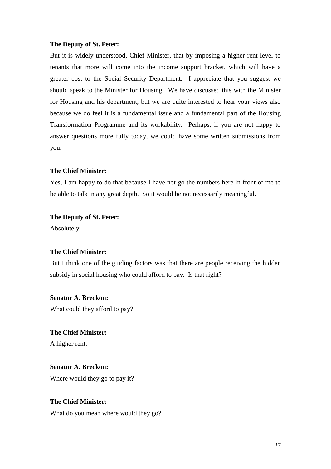#### **The Deputy of St. Peter:**

But it is widely understood, Chief Minister, that by imposing a higher rent level to tenants that more will come into the income support bracket, which will have a greater cost to the Social Security Department. I appreciate that you suggest we should speak to the Minister for Housing. We have discussed this with the Minister for Housing and his department, but we are quite interested to hear your views also because we do feel it is a fundamental issue and a fundamental part of the Housing Transformation Programme and its workability. Perhaps, if you are not happy to answer questions more fully today, we could have some written submissions from you.

#### **The Chief Minister:**

Yes, I am happy to do that because I have not go the numbers here in front of me to be able to talk in any great depth. So it would be not necessarily meaningful.

#### **The Deputy of St. Peter:**

Absolutely.

## **The Chief Minister:**

But I think one of the guiding factors was that there are people receiving the hidden subsidy in social housing who could afford to pay. Is that right?

# **Senator A. Breckon:**

What could they afford to pay?

**The Chief Minister:** A higher rent.

**Senator A. Breckon:** Where would they go to pay it?

# **The Chief Minister:**

What do you mean where would they go?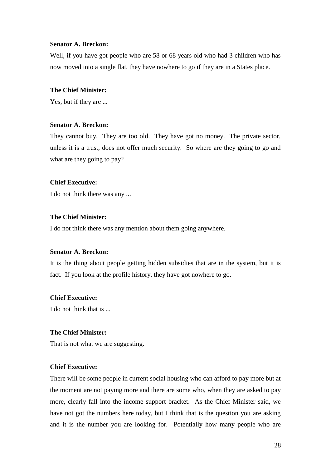## **Senator A. Breckon:**

Well, if you have got people who are 58 or 68 years old who had 3 children who has now moved into a single flat, they have nowhere to go if they are in a States place.

# **The Chief Minister:**

Yes, but if they are ...

# **Senator A. Breckon:**

They cannot buy. They are too old. They have got no money. The private sector, unless it is a trust, does not offer much security. So where are they going to go and what are they going to pay?

# **Chief Executive:**

I do not think there was any ...

# **The Chief Minister:**

I do not think there was any mention about them going anywhere.

## **Senator A. Breckon:**

It is the thing about people getting hidden subsidies that are in the system, but it is fact. If you look at the profile history, they have got nowhere to go.

# **Chief Executive:**

I do not think that is ...

# **The Chief Minister:**

That is not what we are suggesting.

# **Chief Executive:**

There will be some people in current social housing who can afford to pay more but at the moment are not paying more and there are some who, when they are asked to pay more, clearly fall into the income support bracket. As the Chief Minister said, we have not got the numbers here today, but I think that is the question you are asking and it is the number you are looking for. Potentially how many people who are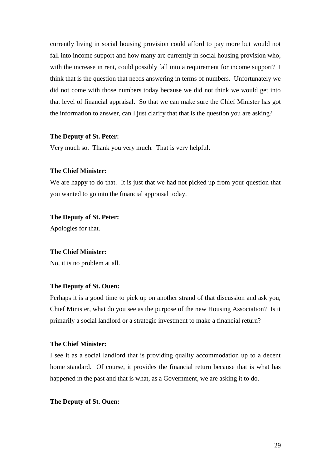currently living in social housing provision could afford to pay more but would not fall into income support and how many are currently in social housing provision who, with the increase in rent, could possibly fall into a requirement for income support? I think that is the question that needs answering in terms of numbers. Unfortunately we did not come with those numbers today because we did not think we would get into that level of financial appraisal. So that we can make sure the Chief Minister has got the information to answer, can I just clarify that that is the question you are asking?

## **The Deputy of St. Peter:**

Very much so. Thank you very much. That is very helpful.

# **The Chief Minister:**

We are happy to do that. It is just that we had not picked up from your question that you wanted to go into the financial appraisal today.

## **The Deputy of St. Peter:**

Apologies for that.

## **The Chief Minister:**

No, it is no problem at all.

#### **The Deputy of St. Ouen:**

Perhaps it is a good time to pick up on another strand of that discussion and ask you, Chief Minister, what do you see as the purpose of the new Housing Association? Is it primarily a social landlord or a strategic investment to make a financial return?

# **The Chief Minister:**

I see it as a social landlord that is providing quality accommodation up to a decent home standard. Of course, it provides the financial return because that is what has happened in the past and that is what, as a Government, we are asking it to do.

#### **The Deputy of St. Ouen:**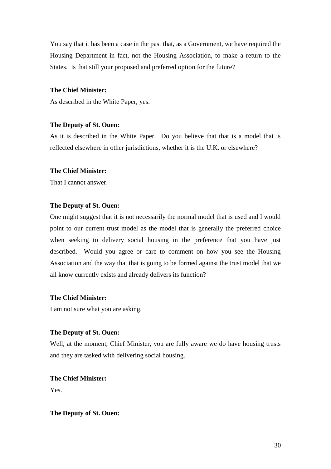You say that it has been a case in the past that, as a Government, we have required the Housing Department in fact, not the Housing Association, to make a return to the States. Is that still your proposed and preferred option for the future?

# **The Chief Minister:**

As described in the White Paper, yes.

## **The Deputy of St. Ouen:**

As it is described in the White Paper. Do you believe that that is a model that is reflected elsewhere in other jurisdictions, whether it is the U.K. or elsewhere?

# **The Chief Minister:**

That I cannot answer.

#### **The Deputy of St. Ouen:**

One might suggest that it is not necessarily the normal model that is used and I would point to our current trust model as the model that is generally the preferred choice when seeking to delivery social housing in the preference that you have just described. Would you agree or care to comment on how you see the Housing Association and the way that that is going to be formed against the trust model that we all know currently exists and already delivers its function?

# **The Chief Minister:**

I am not sure what you are asking.

## **The Deputy of St. Ouen:**

Well, at the moment, Chief Minister, you are fully aware we do have housing trusts and they are tasked with delivering social housing.

**The Chief Minister:** Yes.

**The Deputy of St. Ouen:**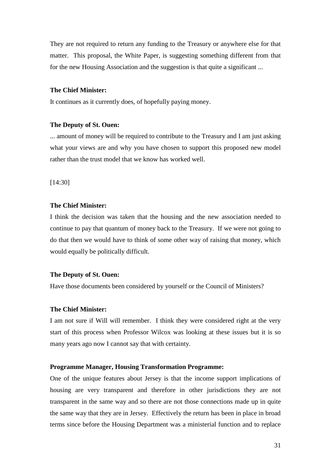They are not required to return any funding to the Treasury or anywhere else for that matter. This proposal, the White Paper, is suggesting something different from that for the new Housing Association and the suggestion is that quite a significant ...

# **The Chief Minister:**

It continues as it currently does, of hopefully paying money.

#### **The Deputy of St. Ouen:**

... amount of money will be required to contribute to the Treasury and I am just asking what your views are and why you have chosen to support this proposed new model rather than the trust model that we know has worked well.

[14:30]

# **The Chief Minister:**

I think the decision was taken that the housing and the new association needed to continue to pay that quantum of money back to the Treasury. If we were not going to do that then we would have to think of some other way of raising that money, which would equally be politically difficult.

#### **The Deputy of St. Ouen:**

Have those documents been considered by yourself or the Council of Ministers?

#### **The Chief Minister:**

I am not sure if Will will remember. I think they were considered right at the very start of this process when Professor Wilcox was looking at these issues but it is so many years ago now I cannot say that with certainty.

#### **Programme Manager, Housing Transformation Programme:**

One of the unique features about Jersey is that the income support implications of housing are very transparent and therefore in other jurisdictions they are not transparent in the same way and so there are not those connections made up in quite the same way that they are in Jersey. Effectively the return has been in place in broad terms since before the Housing Department was a ministerial function and to replace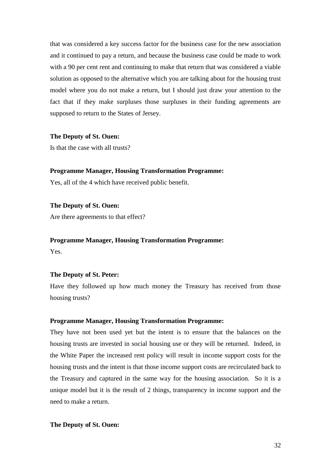that was considered a key success factor for the business case for the new association and it continued to pay a return, and because the business case could be made to work with a 90 per cent rent and continuing to make that return that was considered a viable solution as opposed to the alternative which you are talking about for the housing trust model where you do not make a return, but I should just draw your attention to the fact that if they make surpluses those surpluses in their funding agreements are supposed to return to the States of Jersey.

#### **The Deputy of St. Ouen:**

Is that the case with all trusts?

## **Programme Manager, Housing Transformation Programme:**

Yes, all of the 4 which have received public benefit.

## **The Deputy of St. Ouen:**

Are there agreements to that effect?

#### **Programme Manager, Housing Transformation Programme:**

Yes.

#### **The Deputy of St. Peter:**

Have they followed up how much money the Treasury has received from those housing trusts?

# **Programme Manager, Housing Transformation Programme:**

They have not been used yet but the intent is to ensure that the balances on the housing trusts are invested in social housing use or they will be returned. Indeed, in the White Paper the increased rent policy will result in income support costs for the housing trusts and the intent is that those income support costs are recirculated back to the Treasury and captured in the same way for the housing association. So it is a unique model but it is the result of 2 things, transparency in income support and the need to make a return.

#### **The Deputy of St. Ouen:**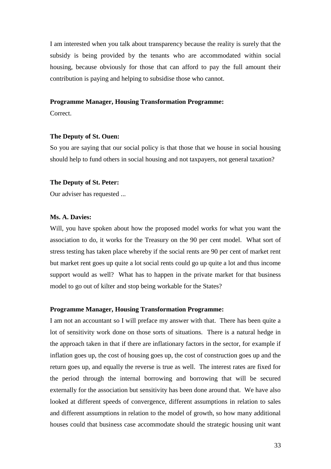I am interested when you talk about transparency because the reality is surely that the subsidy is being provided by the tenants who are accommodated within social housing, because obviously for those that can afford to pay the full amount their contribution is paying and helping to subsidise those who cannot.

#### **Programme Manager, Housing Transformation Programme:**

Correct.

#### **The Deputy of St. Ouen:**

So you are saying that our social policy is that those that we house in social housing should help to fund others in social housing and not taxpayers, not general taxation?

#### **The Deputy of St. Peter:**

Our adviser has requested ...

# **Ms. A. Davies:**

Will, you have spoken about how the proposed model works for what you want the association to do, it works for the Treasury on the 90 per cent model. What sort of stress testing has taken place whereby if the social rents are 90 per cent of market rent but market rent goes up quite a lot social rents could go up quite a lot and thus income support would as well? What has to happen in the private market for that business model to go out of kilter and stop being workable for the States?

#### **Programme Manager, Housing Transformation Programme:**

I am not an accountant so I will preface my answer with that. There has been quite a lot of sensitivity work done on those sorts of situations. There is a natural hedge in the approach taken in that if there are inflationary factors in the sector, for example if inflation goes up, the cost of housing goes up, the cost of construction goes up and the return goes up, and equally the reverse is true as well. The interest rates are fixed for the period through the internal borrowing and borrowing that will be secured externally for the association but sensitivity has been done around that. We have also looked at different speeds of convergence, different assumptions in relation to sales and different assumptions in relation to the model of growth, so how many additional houses could that business case accommodate should the strategic housing unit want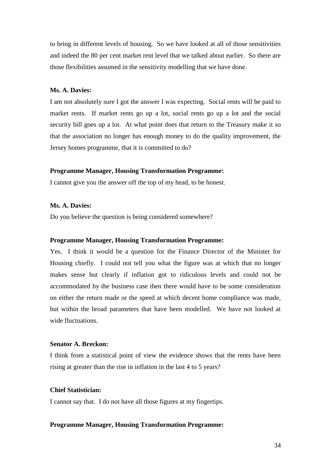to bring in different levels of housing. So we have looked at all of those sensitivities and indeed the 80 per cent market rent level that we talked about earlier. So there are those flexibilities assumed in the sensitivity modelling that we have done.

# **Ms. A. Davies:**

I am not absolutely sure I got the answer I was expecting. Social rents will be paid to market rents. If market rents go up a lot, social rents go up a lot and the social security bill goes up a lot. At what point does that return to the Treasury make it so that the association no longer has enough money to do the quality improvement, the Jersey homes programme, that it is committed to do?

#### **Programme Manager, Housing Transformation Programme:**

I cannot give you the answer off the top of my head, to be honest.

# **Ms. A. Davies:**

Do you believe the question is being considered somewhere?

#### **Programme Manager, Housing Transformation Programme:**

Yes. I think it would be a question for the Finance Director of the Minister for Housing chiefly. I could not tell you what the figure was at which that no longer makes sense but clearly if inflation got to ridiculous levels and could not be accommodated by the business case then there would have to be some consideration on either the return made or the speed at which decent home compliance was made, but within the broad parameters that have been modelled. We have not looked at wide fluctuations.

# **Senator A. Breckon:**

I think from a statistical point of view the evidence shows that the rents have been rising at greater than the rise in inflation in the last 4 to 5 years?

# **Chief Statistician:**

I cannot say that. I do not have all those figures at my fingertips.

#### **Programme Manager, Housing Transformation Programme:**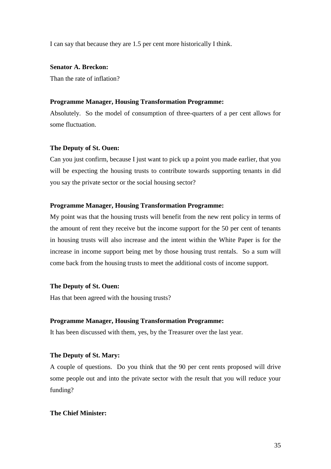I can say that because they are 1.5 per cent more historically I think.

**Senator A. Breckon:**

Than the rate of inflation?

## **Programme Manager, Housing Transformation Programme:**

Absolutely. So the model of consumption of three-quarters of a per cent allows for some fluctuation.

# **The Deputy of St. Ouen:**

Can you just confirm, because I just want to pick up a point you made earlier, that you will be expecting the housing trusts to contribute towards supporting tenants in did you say the private sector or the social housing sector?

# **Programme Manager, Housing Transformation Programme:**

My point was that the housing trusts will benefit from the new rent policy in terms of the amount of rent they receive but the income support for the 50 per cent of tenants in housing trusts will also increase and the intent within the White Paper is for the increase in income support being met by those housing trust rentals. So a sum will come back from the housing trusts to meet the additional costs of income support.

#### **The Deputy of St. Ouen:**

Has that been agreed with the housing trusts?

# **Programme Manager, Housing Transformation Programme:**

It has been discussed with them, yes, by the Treasurer over the last year.

# **The Deputy of St. Mary:**

A couple of questions. Do you think that the 90 per cent rents proposed will drive some people out and into the private sector with the result that you will reduce your funding?

# **The Chief Minister:**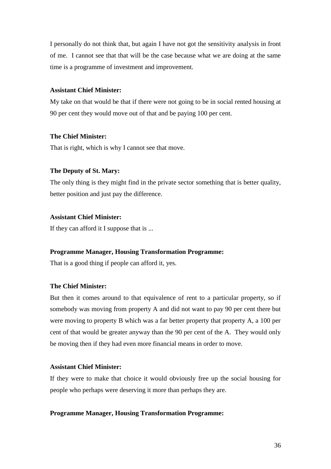I personally do not think that, but again I have not got the sensitivity analysis in front of me. I cannot see that that will be the case because what we are doing at the same time is a programme of investment and improvement.

# **Assistant Chief Minister:**

My take on that would be that if there were not going to be in social rented housing at 90 per cent they would move out of that and be paying 100 per cent.

## **The Chief Minister:**

That is right, which is why I cannot see that move.

# **The Deputy of St. Mary:**

The only thing is they might find in the private sector something that is better quality, better position and just pay the difference.

# **Assistant Chief Minister:**

If they can afford it I suppose that is ...

# **Programme Manager, Housing Transformation Programme:**

That is a good thing if people can afford it, yes.

# **The Chief Minister:**

But then it comes around to that equivalence of rent to a particular property, so if somebody was moving from property A and did not want to pay 90 per cent there but were moving to property B which was a far better property that property A, a 100 per cent of that would be greater anyway than the 90 per cent of the A. They would only be moving then if they had even more financial means in order to move.

# **Assistant Chief Minister:**

If they were to make that choice it would obviously free up the social housing for people who perhaps were deserving it more than perhaps they are.

#### **Programme Manager, Housing Transformation Programme:**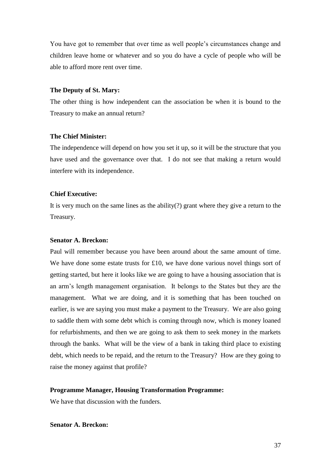You have got to remember that over time as well people's circumstances change and children leave home or whatever and so you do have a cycle of people who will be able to afford more rent over time.

#### **The Deputy of St. Mary:**

The other thing is how independent can the association be when it is bound to the Treasury to make an annual return?

#### **The Chief Minister:**

The independence will depend on how you set it up, so it will be the structure that you have used and the governance over that. I do not see that making a return would interfere with its independence.

# **Chief Executive:**

It is very much on the same lines as the ability(?) grant where they give a return to the Treasury.

## **Senator A. Breckon:**

Paul will remember because you have been around about the same amount of time. We have done some estate trusts for £10, we have done various novel things sort of getting started, but here it looks like we are going to have a housing association that is an arm's length management organisation. It belongs to the States but they are the management. What we are doing, and it is something that has been touched on earlier, is we are saying you must make a payment to the Treasury. We are also going to saddle them with some debt which is coming through now, which is money loaned for refurbishments, and then we are going to ask them to seek money in the markets through the banks. What will be the view of a bank in taking third place to existing debt, which needs to be repaid, and the return to the Treasury? How are they going to raise the money against that profile?

# **Programme Manager, Housing Transformation Programme:**

We have that discussion with the funders.

# **Senator A. Breckon:**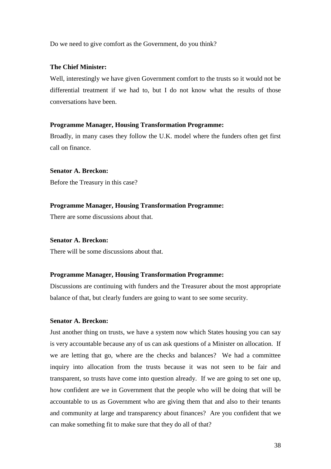Do we need to give comfort as the Government, do you think?

## **The Chief Minister:**

Well, interestingly we have given Government comfort to the trusts so it would not be differential treatment if we had to, but I do not know what the results of those conversations have been.

## **Programme Manager, Housing Transformation Programme:**

Broadly, in many cases they follow the U.K. model where the funders often get first call on finance.

# **Senator A. Breckon:**

Before the Treasury in this case?

# **Programme Manager, Housing Transformation Programme:**

There are some discussions about that.

# **Senator A. Breckon:**

There will be some discussions about that.

# **Programme Manager, Housing Transformation Programme:**

Discussions are continuing with funders and the Treasurer about the most appropriate balance of that, but clearly funders are going to want to see some security.

# **Senator A. Breckon:**

Just another thing on trusts, we have a system now which States housing you can say is very accountable because any of us can ask questions of a Minister on allocation. If we are letting that go, where are the checks and balances? We had a committee inquiry into allocation from the trusts because it was not seen to be fair and transparent, so trusts have come into question already. If we are going to set one up, how confident are we in Government that the people who will be doing that will be accountable to us as Government who are giving them that and also to their tenants and community at large and transparency about finances? Are you confident that we can make something fit to make sure that they do all of that?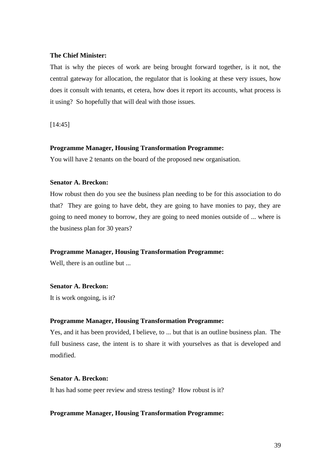# **The Chief Minister:**

That is why the pieces of work are being brought forward together, is it not, the central gateway for allocation, the regulator that is looking at these very issues, how does it consult with tenants, et cetera, how does it report its accounts, what process is it using? So hopefully that will deal with those issues.

[14:45]

# **Programme Manager, Housing Transformation Programme:**

You will have 2 tenants on the board of the proposed new organisation.

# **Senator A. Breckon:**

How robust then do you see the business plan needing to be for this association to do that? They are going to have debt, they are going to have monies to pay, they are going to need money to borrow, they are going to need monies outside of ... where is the business plan for 30 years?

# **Programme Manager, Housing Transformation Programme:**

Well, there is an outline but ...

# **Senator A. Breckon:**

It is work ongoing, is it?

# **Programme Manager, Housing Transformation Programme:**

Yes, and it has been provided, I believe, to ... but that is an outline business plan. The full business case, the intent is to share it with yourselves as that is developed and modified.

# **Senator A. Breckon:**

It has had some peer review and stress testing? How robust is it?

#### **Programme Manager, Housing Transformation Programme:**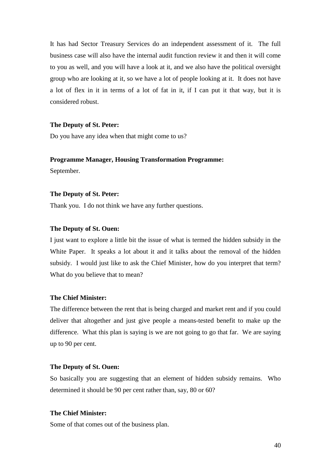It has had Sector Treasury Services do an independent assessment of it. The full business case will also have the internal audit function review it and then it will come to you as well, and you will have a look at it, and we also have the political oversight group who are looking at it, so we have a lot of people looking at it. It does not have a lot of flex in it in terms of a lot of fat in it, if I can put it that way, but it is considered robust.

## **The Deputy of St. Peter:**

Do you have any idea when that might come to us?

#### **Programme Manager, Housing Transformation Programme:**

September.

#### **The Deputy of St. Peter:**

Thank you. I do not think we have any further questions.

# **The Deputy of St. Ouen:**

I just want to explore a little bit the issue of what is termed the hidden subsidy in the White Paper. It speaks a lot about it and it talks about the removal of the hidden subsidy. I would just like to ask the Chief Minister, how do you interpret that term? What do you believe that to mean?

# **The Chief Minister:**

The difference between the rent that is being charged and market rent and if you could deliver that altogether and just give people a means-tested benefit to make up the difference. What this plan is saying is we are not going to go that far. We are saying up to 90 per cent.

#### **The Deputy of St. Ouen:**

So basically you are suggesting that an element of hidden subsidy remains. Who determined it should be 90 per cent rather than, say, 80 or 60?

## **The Chief Minister:**

Some of that comes out of the business plan.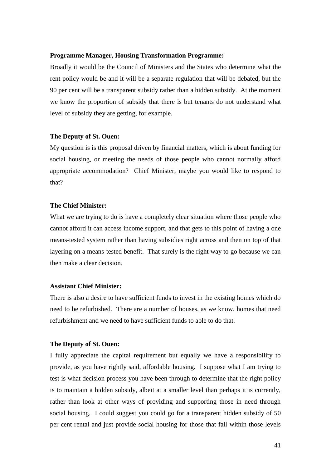#### **Programme Manager, Housing Transformation Programme:**

Broadly it would be the Council of Ministers and the States who determine what the rent policy would be and it will be a separate regulation that will be debated, but the 90 per cent will be a transparent subsidy rather than a hidden subsidy. At the moment we know the proportion of subsidy that there is but tenants do not understand what level of subsidy they are getting, for example.

#### **The Deputy of St. Ouen:**

My question is is this proposal driven by financial matters, which is about funding for social housing, or meeting the needs of those people who cannot normally afford appropriate accommodation? Chief Minister, maybe you would like to respond to that?

# **The Chief Minister:**

What we are trying to do is have a completely clear situation where those people who cannot afford it can access income support, and that gets to this point of having a one means-tested system rather than having subsidies right across and then on top of that layering on a means-tested benefit. That surely is the right way to go because we can then make a clear decision.

#### **Assistant Chief Minister:**

There is also a desire to have sufficient funds to invest in the existing homes which do need to be refurbished. There are a number of houses, as we know, homes that need refurbishment and we need to have sufficient funds to able to do that.

#### **The Deputy of St. Ouen:**

I fully appreciate the capital requirement but equally we have a responsibility to provide, as you have rightly said, affordable housing. I suppose what I am trying to test is what decision process you have been through to determine that the right policy is to maintain a hidden subsidy, albeit at a smaller level than perhaps it is currently, rather than look at other ways of providing and supporting those in need through social housing. I could suggest you could go for a transparent hidden subsidy of 50 per cent rental and just provide social housing for those that fall within those levels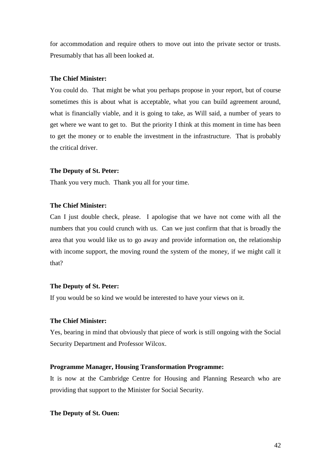for accommodation and require others to move out into the private sector or trusts. Presumably that has all been looked at.

# **The Chief Minister:**

You could do. That might be what you perhaps propose in your report, but of course sometimes this is about what is acceptable, what you can build agreement around, what is financially viable, and it is going to take, as Will said, a number of years to get where we want to get to. But the priority I think at this moment in time has been to get the money or to enable the investment in the infrastructure. That is probably the critical driver.

#### **The Deputy of St. Peter:**

Thank you very much. Thank you all for your time.

# **The Chief Minister:**

Can I just double check, please. I apologise that we have not come with all the numbers that you could crunch with us. Can we just confirm that that is broadly the area that you would like us to go away and provide information on, the relationship with income support, the moving round the system of the money, if we might call it that?

#### **The Deputy of St. Peter:**

If you would be so kind we would be interested to have your views on it.

# **The Chief Minister:**

Yes, bearing in mind that obviously that piece of work is still ongoing with the Social Security Department and Professor Wilcox.

# **Programme Manager, Housing Transformation Programme:**

It is now at the Cambridge Centre for Housing and Planning Research who are providing that support to the Minister for Social Security.

**The Deputy of St. Ouen:**